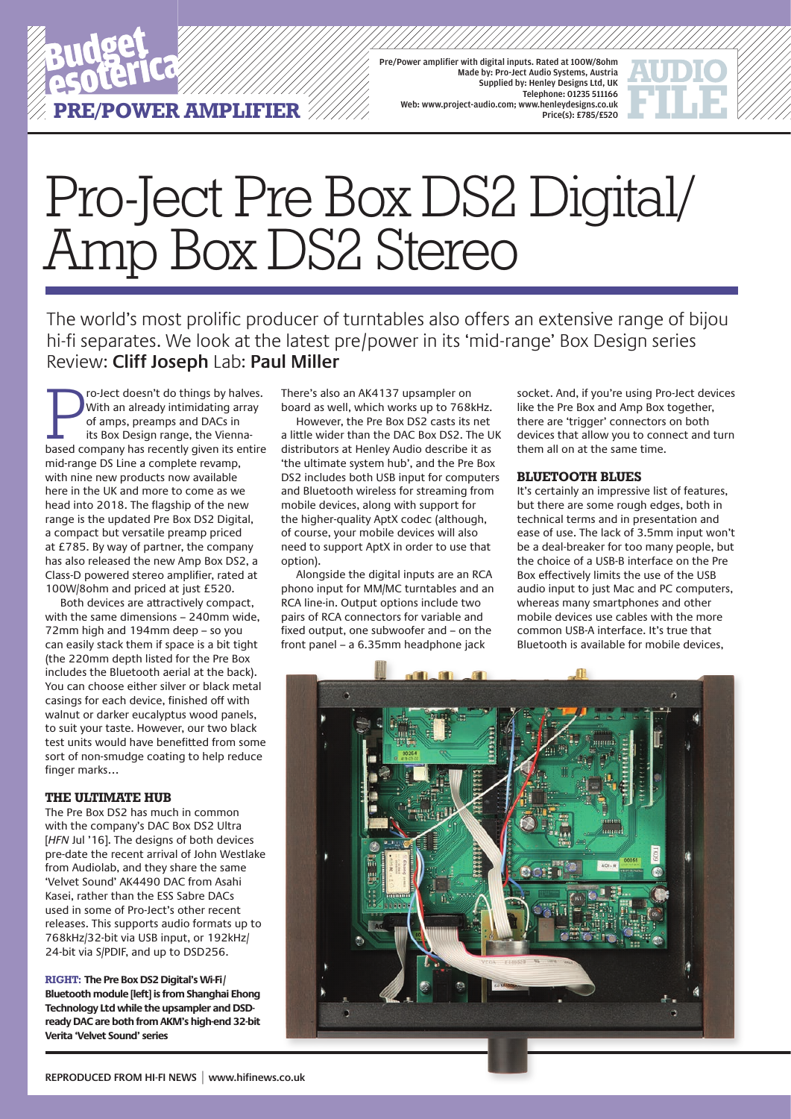

Pre/Power amplifier with digital inputs. Rated at 100W/8ohm Made by: Pro-Ject Audio Systems, Austria Supplied by: Henley Designs Ltd, UK Telephone: 01235 511166 Web: www.project-audio.com; www.henleydesigns.co.uk Price(s): £785/£520

# Pro-Ject Pre Box DS2 Digital/ Amp Box DS2 Stereo

The world's most prolific producer of turntables also offers an extensive range of bijou hi-fi separates. We look at the latest pre/power in its 'mid-range' Box Design series Review: **Cliff Joseph** Lab: **Paul Miller**

Fo-lect doesn't do things by halves.<br>With an already intimidating array<br>of amps, preamps and DACs in<br>its Box Design range, the Vienna-<br>based company has recently given its entire ro-Ject doesn't do things by halves. With an already intimidating array of amps, preamps and DACs in its Box Design range, the Viennamid-range DS Line a complete revamp, with nine new products now available here in the UK and more to come as we head into 2018. The flagship of the new range is the updated Pre Box DS2 Digital, a compact but versatile preamp priced at £785. By way of partner, the company has also released the new Amp Box DS2, a Class-D powered stereo amplifier, rated at 100W/8ohm and priced at just £520.

Both devices are attractively compact, with the same dimensions – 240mm wide, 72mm high and 194mm deep – so you can easily stack them if space is a bit tight (the 220mm depth listed for the Pre Box includes the Bluetooth aerial at the back). You can choose either silver or black metal casings for each device, finished off with walnut or darker eucalyptus wood panels, to suit your taste. However, our two black test units would have benefitted from some sort of non-smudge coating to help reduce finger marks…

#### **THE ULTIMATE HUB**

The Pre Box DS2 has much in common with the company's DAC Box DS2 Ultra [*HFN* Jul '16]. The designs of both devices pre-date the recent arrival of John Westlake from Audiolab, and they share the same 'Velvet Sound' AK4490 DAC from Asahi Kasei, rather than the ESS Sabre DACs used in some of Pro-Ject's other recent releases. This supports audio formats up to 768kHz/32-bit via USB input, or 192kHz/ 24-bit via S/PDIF, and up to DSD256.

**RIGHT: The Pre Box DS2 Digital's Wi-Fi/ Bluetooth module [left] is from Shanghai Ehong Technology Ltd while the upsampler and DSDready DAC are both from AKM's high-end 32-bit Verita 'Velvet Sound' series** 

There's also an AK4137 upsampler on board as well, which works up to 768kHz.

However, the Pre Box DS2 casts its net a little wider than the DAC Box DS2. The UK distributors at Henley Audio describe it as 'the ultimate system hub', and the Pre Box DS2 includes both USB input for computers and Bluetooth wireless for streaming from mobile devices, along with support for the higher-quality AptX codec (although, of course, your mobile devices will also need to support AptX in order to use that option).

Alongside the digital inputs are an RCA phono input for MM/MC turntables and an RCA line-in. Output options include two pairs of RCA connectors for variable and fixed output, one subwoofer and – on the front panel – a 6.35mm headphone jack

socket. And, if you're using Pro-Ject devices like the Pre Box and Amp Box together, there are 'trigger' connectors on both devices that allow you to connect and turn them all on at the same time.

#### **BLUETOOTH BLUES**

It's certainly an impressive list of features, but there are some rough edges, both in technical terms and in presentation and ease of use. The lack of 3.5mm input won't be a deal-breaker for too many people, but the choice of a USB-B interface on the Pre Box effectively limits the use of the USB audio input to just Mac and PC computers, whereas many smartphones and other mobile devices use cables with the more common USB-A interface. It's true that Bluetooth is available for mobile devices,

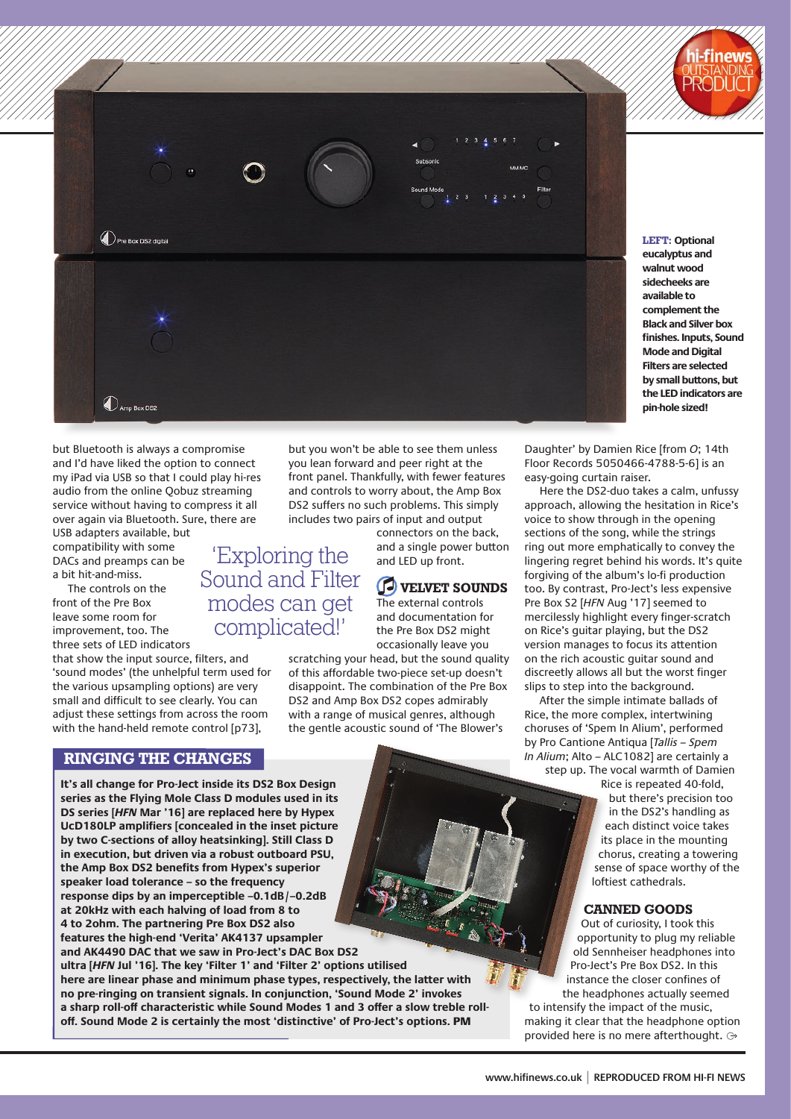

**LEFT: Optional eucalyptus and walnut wood sidecheeks are available to complement the Black and Silver box finishes. Inputs, Sound Mode and Digital Filters are selected by small buttons, but the LED indicators are pin-hole sized!**

but Bluetooth is always a compromise and I'd have liked the option to connect my iPad via USB so that I could play hi-res audio from the online Qobuz streaming service without having to compress it all over again via Bluetooth. Sure, there are

Pre Box DS2 digital

 $\mathbb{O}_\mathrm{Amp\,Box\,DS2}$ 

USB adapters available, but compatibility with some DACs and preamps can be a bit hit-and-miss.

The controls on the front of the Pre Box leave some room for improvement, too. The three sets of LED indicators

that show the input source, filters, and 'sound modes' (the unhelpful term used for the various upsampling options) are very small and difficult to see clearly. You can adjust these settings from across the room with the hand-held remote control [p73],

#### **RINGING THE CHANGES**

**It's all change for Pro-Ject inside its DS2 Box Design series as the Flying Mole Class D modules used in its DS series [***HFN* **Mar '16] are replaced here by Hypex UcD180LP amplifiers [concealed in the inset picture by two C-sections of alloy heatsinking]. Still Class D in execution, but driven via a robust outboard PSU, the Amp Box DS2 benefits from Hypex's superior speaker load tolerance – so the frequency response dips by an imperceptible –0.1dB/–0.2dB at 20kHz with each halving of load from 8 to 4 to 2ohm. The partnering Pre Box DS2 also features the high-end 'Verita' AK4137 upsampler and AK4490 DAC that we saw in Pro-Ject's DAC Box DS2 ultra [***HFN* **Jul '16]. The key 'Filter 1' and 'Filter 2' options utilised here are linear phase and minimum phase types, respectively, the latter with no pre-ringing on transient signals. In conjunction, 'Sound Mode 2' invokes a sharp roll-off characteristic while Sound Modes 1 and 3 offer a slow treble rolloff. Sound Mode 2 is certainly the most 'distinctive' of Pro-Ject's options.** PM

Sound and Filter modes can get complicated!'

but you won't be able to see them unless you lean forward and peer right at the front panel. Thankfully, with fewer features and controls to worry about, the Amp Box DS2 suffers no such problems. This simply

> connectors on the back, and a single power button and LED up front.

### **VELVET SOUNDS**

The external controls and documentation for the Pre Box DS2 might occasionally leave you

scratching your head, but the sound quality of this affordable two-piece set-up doesn't disappoint. The combination of the Pre Box DS2 and Amp Box DS2 copes admirably with a range of musical genres, although the gentle acoustic sound of 'The Blower's

Daughter' by Damien Rice [from *O*; 14th Floor Records 5050466-4788-5-6] is an easy-going curtain raiser.

Here the DS2-duo takes a calm, unfussy approach, allowing the hesitation in Rice's voice to show through in the opening sections of the song, while the strings ring out more emphatically to convey the lingering regret behind his words. It's quite forgiving of the album's lo-fi production too. By contrast, Pro-Ject's less expensive Pre Box S2 [*HFN* Aug '17] seemed to mercilessly highlight every finger-scratch on Rice's guitar playing, but the DS2 version manages to focus its attention on the rich acoustic guitar sound and discreetly allows all but the worst finger slips to step into the background.

After the simple intimate ballads of Rice, the more complex, intertwining choruses of 'Spem In Alium', performed by Pro Cantione Antiqua [*Tallis – Spem In Alium*; Alto – ALC1082] are certainly a step up. The vocal warmth of Damien

> Rice is repeated 40-fold, but there's precision too in the DS2's handling as each distinct voice takes its place in the mounting chorus, creating a towering sense of space worthy of the loftiest cathedrals.

#### **CANNED GOODS**

Out of curiosity, I took this opportunity to plug my reliable old Sennheiser headphones into Pro-Ject's Pre Box DS2. In this instance the closer confines of the headphones actually seemed to intensify the impact of the music, making it clear that the headphone option provided here is no mere afterthought.

includes two pairs of input and output 'Exploring the